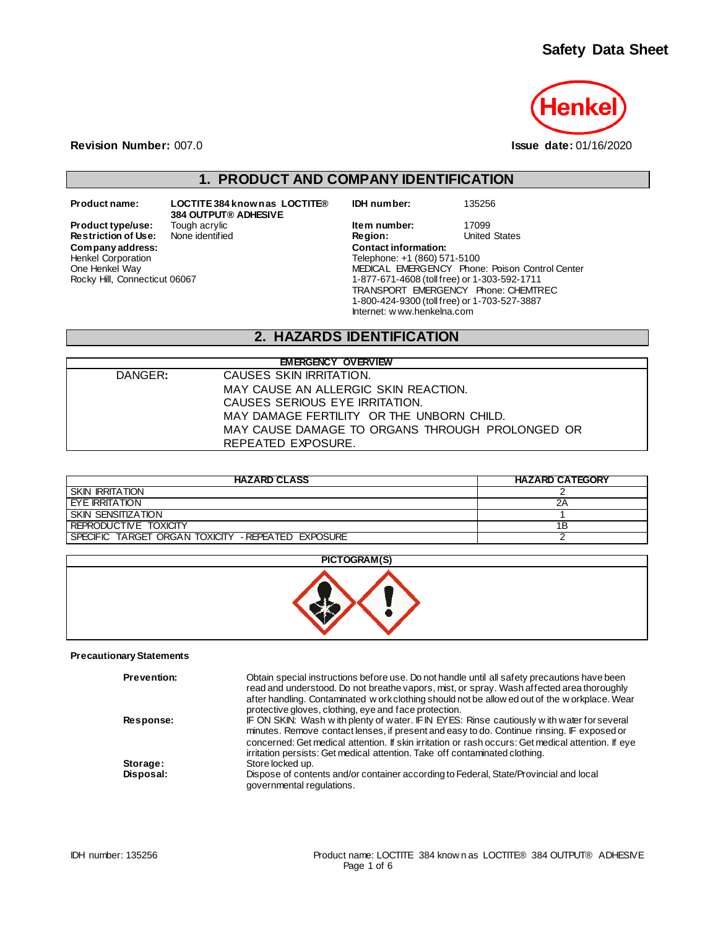

**Revision Number:** 007.0 **Issue date:** 01/16/2020

## **1. PRODUCT AND COMPANY IDENTIFICATION**

**Restriction of Use: Company address: Contact information:** Henkel Corporation One Henkel Way Rocky Hill, Connecticut 06067

**Product name: LOCTITE 384 known as LOCTITE® 384 OUTPUT® ADHESIVE**

**IDH number:** 135256

**Product type/use:** Tough acrylic **Integral Communist Communist Communist Communist Communist Communist Communist Communist Communist Communist Communist Communist Communist Communist Communist Communist Communist Communis** Telephone: +1 (860) 571-5100 MEDICAL EMERGENCY Phone: Poison Control Center 1-877-671-4608 (toll free) or 1-303-592-1711 TRANSPORT EMERGENCY Phone: CHEMTREC 1-800-424-9300 (toll free) or 1-703-527-3887 Internet: w ww.henkelna.com

# **2. HAZARDS IDENTIFICATION**

| <b>EMERGENCY OVERVIEW</b> |                                                 |  |  |
|---------------------------|-------------------------------------------------|--|--|
| DANGER:                   | CAUSES SKIN IRRITATION.                         |  |  |
|                           | MAY CAUSE AN ALLERGIC SKIN REACTION.            |  |  |
|                           | CAUSES SERIOUS EYE IRRITATION.                  |  |  |
|                           | MAY DAMAGE FERTILITY OR THE UNBORN CHILD.       |  |  |
|                           | MAY CAUSE DAMAGE TO ORGANS THROUGH PROLONGED OR |  |  |
|                           | REPEATED EXPOSURE.                              |  |  |

| <b>HAZARD CLASS</b>                                | <b>HAZARD CATEGORY</b> |
|----------------------------------------------------|------------------------|
| <b>SKIN IRRITATION</b>                             |                        |
| EYE IRRITATION                                     | 2Α                     |
| SKIN SENSITIZATION                                 |                        |
| REPRODUCTIVE TOXICITY                              | 1B                     |
| SPECIFIC TARGET ORGAN TOXICITY - REPEATED EXPOSURE |                        |



#### **Precautionary Statements**

| <b>Prevention:</b> | Obtain special instructions before use. Do not handle until all safety precautions have been<br>read and understood. Do not breathe vapors, mist, or spray. Wash affected area thoroughly<br>after handling. Contaminated w ork clothing should not be allow ed out of the w orkplace. Wear<br>protective gloves, clothing, eye and face protection.                          |
|--------------------|-------------------------------------------------------------------------------------------------------------------------------------------------------------------------------------------------------------------------------------------------------------------------------------------------------------------------------------------------------------------------------|
| Response:          | IF ON SKIN: Wash with plenty of water. IF IN EYES: Rinse cautiously with water for several<br>minutes. Remove contact lenses, if present and easy to do. Continue rinsing. IF exposed or<br>concerned: Get medical attention. If skin irritation or rash occurs: Get medical attention. If eye<br>irritation persists: Get medical attention. Take off contaminated clothing. |
| Storage:           | Store locked up.                                                                                                                                                                                                                                                                                                                                                              |
| Disposal:          | Dispose of contents and/or container according to Federal, State/Provincial and local<br>governmental regulations.                                                                                                                                                                                                                                                            |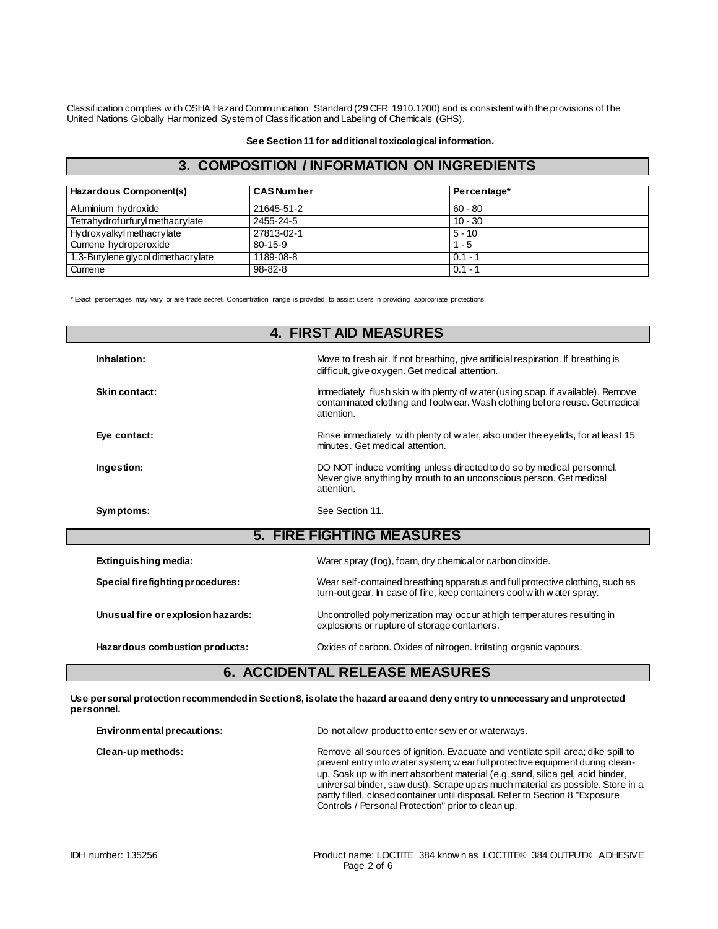Classification complies w ith OSHA Hazard Communication Standard (29 CFR 1910.1200) and is consistent with the provisions of the United Nations Globally Harmonized System of Classification and Labeling of Chemicals (GHS).

**See Section 11 for additional toxicological information.**

# **3. COMPOSITION / INFORMATION ON INGREDIENTS**

| Hazardous Component(s)             | <b>CAS Number</b> | Percentage* |
|------------------------------------|-------------------|-------------|
| Aluminium hydroxide                | 21645-51-2        | $60 - 80$   |
| Tetrahydrofurfuryl methacrylate    | 2455-24-5         | $10 - 30$   |
| Hydroxyalkyl methacrylate          | 27813-02-1        | $5 - 10$    |
| Cumene hydroperoxide               | $80 - 15 - 9$     | $1 - 5$     |
| 1,3-Butylene glycol dimethacrylate | 1189-08-8         | $0.1 - 7$   |
| Cumene                             | 98-82-8           | $0.1 -$     |

\* Exact percentages may vary or are trade secret. Concentration range is provided to assist users in providing appropriate pr otections.

| <b>4. FIRST AID MEASURES</b>       |                                                                                                                                                                               |  |  |
|------------------------------------|-------------------------------------------------------------------------------------------------------------------------------------------------------------------------------|--|--|
| Inhalation:                        | Move to fresh air. If not breathing, give artificial respiration. If breathing is<br>difficult, give oxygen. Get medical attention.                                           |  |  |
| Skin contact:                      | Immediately flush skin w ith plenty of w ater (using soap, if available). Remove<br>contaminated clothing and footwear. Wash clothing before reuse. Get medical<br>attention. |  |  |
| Eye contact:                       | Rinse immediately with plenty of water, also under the eyelids, for at least 15<br>minutes. Get medical attention.                                                            |  |  |
| Ingestion:                         | DO NOT induce vomiting unless directed to do so by medical personnel.<br>Never give anything by mouth to an unconscious person. Get medical<br>attention.                     |  |  |
| Symptoms:                          | See Section 11.                                                                                                                                                               |  |  |
|                                    | <b>5. FIRE FIGHTING MEASURES</b>                                                                                                                                              |  |  |
| Extinguishing media:               | Water spray (fog), foam, dry chemical or carbon dioxide.                                                                                                                      |  |  |
| Special firefighting procedures:   | Wear self-contained breathing apparatus and full protective clothing, such as<br>turn-out gear. In case of fire, keep containers cool with water spray.                       |  |  |
| Unusual fire or explosion hazards: | Uncontrolled polymerization may occur at high temperatures resulting in<br>explosions or rupture of storage containers.                                                       |  |  |
| Hazardous combustion products:     | Oxides of carbon. Oxides of nitrogen. Irritating organic vapours.                                                                                                             |  |  |

# **6. ACCIDENTAL RELEASE MEASURES**

**Use personal protection recommended in Section 8, isolate the hazard area and deny entry to unnecessary and unprotected personnel.**

| Environmental precautions: | Do not allow product to enter sew er or waterways.                                                                                                                                                                                                                                                                                                                                                                                                                               |  |  |
|----------------------------|----------------------------------------------------------------------------------------------------------------------------------------------------------------------------------------------------------------------------------------------------------------------------------------------------------------------------------------------------------------------------------------------------------------------------------------------------------------------------------|--|--|
| Clean-up methods:          | Remove all sources of ignition. Evacuate and ventilate spill area; dike spill to<br>prevent entry into w ater system; w ear full protective equipment during clean-<br>up. Soak up w ith inert absorbent material (e.g. sand, silica gel, acid binder,<br>universal binder, saw dust). Scrape up as much material as possible. Store in a<br>partly filled, closed container until disposal. Refer to Section 8 "Exposure"<br>Controls / Personal Protection" prior to clean up. |  |  |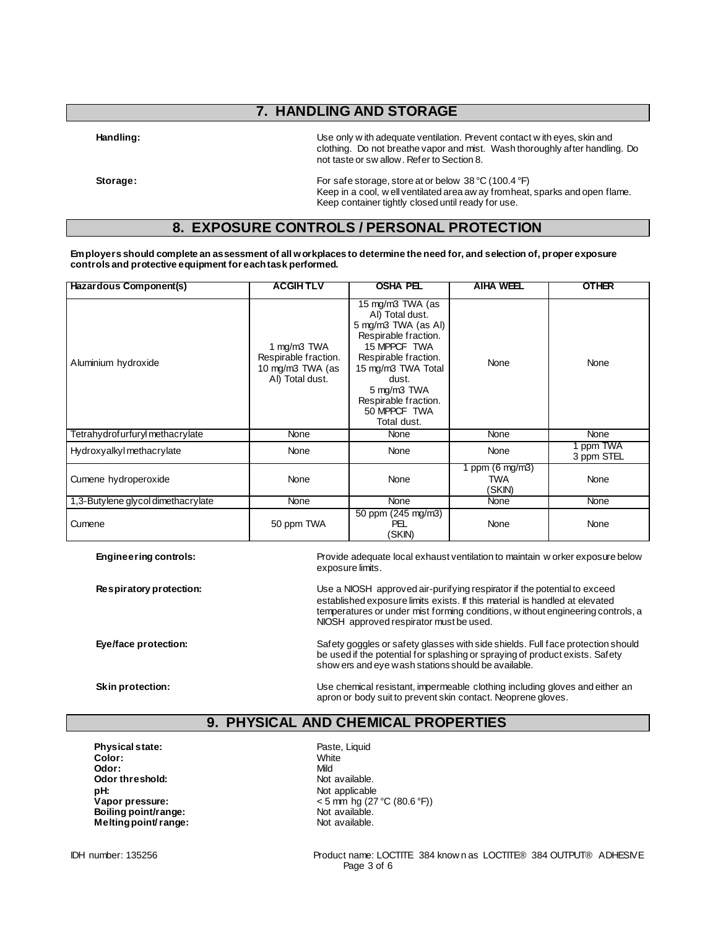# **7. HANDLING AND STORAGE**

**Handling:** Use only w ith adequate ventilation. Prevent contact w ith eyes, skin and clothing. Do not breathe vapor and mist. Wash thoroughly after handling. Do not taste or sw allow. Refer to Section 8.

**Storage:** For safe storage, store at or below 38 °C (100.4 °F) Keep in a cool, w ell ventilated area aw ay from heat, sparks and open flame. Keep container tightly closed until ready for use.

## **8. EXPOSURE CONTROLS / PERSONAL PROTECTION**

**Employers should complete an assessment of all workplaces to determine the need for, and selection of, proper exposure controls and protective equipment for each task performed.**

| Hazardous Component(s)             | <b>ACGIHTLV</b><br><b>OSHA PEL</b>                                         |                                                                                                                                                                                                                                 | AIHA WEEL                                       | <b>OTHER</b>          |
|------------------------------------|----------------------------------------------------------------------------|---------------------------------------------------------------------------------------------------------------------------------------------------------------------------------------------------------------------------------|-------------------------------------------------|-----------------------|
| Aluminium hydroxide                | 1 mg/m3 TWA<br>Respirable fraction.<br>10 mg/m3 TWA (as<br>AI) Total dust. | 15 mg/m3 TWA (as<br>Al) Total dust.<br>5 mg/m3 TWA (as AI)<br>Respirable fraction.<br>15 MPPCF TWA<br>Respirable fraction.<br>15 mg/m3 TWA Total<br>dust.<br>5 mg/m3 TWA<br>Respirable fraction.<br>50 MPPCF TWA<br>Total dust. | None                                            | None                  |
| Tetrahydrofurfuryl methacrylate    | None                                                                       | None                                                                                                                                                                                                                            | None                                            | None                  |
| Hydroxyalkyl methacrylate          | None                                                                       | None                                                                                                                                                                                                                            | None                                            | ppm TWA<br>3 ppm STEL |
| Cumene hydroperoxide               | None                                                                       | None                                                                                                                                                                                                                            | ppm $(6 \text{ mg/m3})$<br><b>TWA</b><br>(SKIN) | None                  |
| 1,3-Butylene glycol dimethacrylate | None                                                                       | None                                                                                                                                                                                                                            | None                                            | None                  |
| Cumene                             | 50 ppm TWA                                                                 | 50 ppm (245 mg/m3)<br>PFI.<br>(SKIN)                                                                                                                                                                                            | None                                            | None                  |

exposure limits.

**Engineering controls:** Provide adequate local exhaust ventilation to maintain w orker exposure below

**Respiratory protection:** Use a NIOSH approved air-purifying respirator if the potential to exceed

Eye/face protection: Safety goggles or safety glasses with side shields. Full face protection should be used if the potential for splashing or spraying of product exists. Safety show ers and eye wash stations should be available.

established exposure limits exists. If this material is handled at elevated temperatures or under mist forming conditions, w ithout engineering controls, a

**Skin protection:** Use chemical resistant, impermeable clothing including gloves and either an under the manner of the manner of the manner of the manner of the manner of the manner of the manner of the manner of the manne apron or body suit to prevent skin contact. Neoprene gloves.

# **9. PHYSICAL AND CHEMICAL PROPERTIES**

**Physical state:** Physical state: Paste, Liquid **Color:** White **Odor:** Mild **Odor threshold:** Not available.<br> **pH:** Not applicable **Boiling point/range:** Not available.<br> **Melting point/range:** Not available. **Melting point/ range:** 

Not applicable **Vapor pressure:** < 5 mm hg (27 °C (80.6 °F))

NIOSH approved respirator must be used.

IDH number: 135256 Product name: LOCTITE 384 know n as LOCTITE® 384 OUTPUT® ADHESIVE Page 3 of 6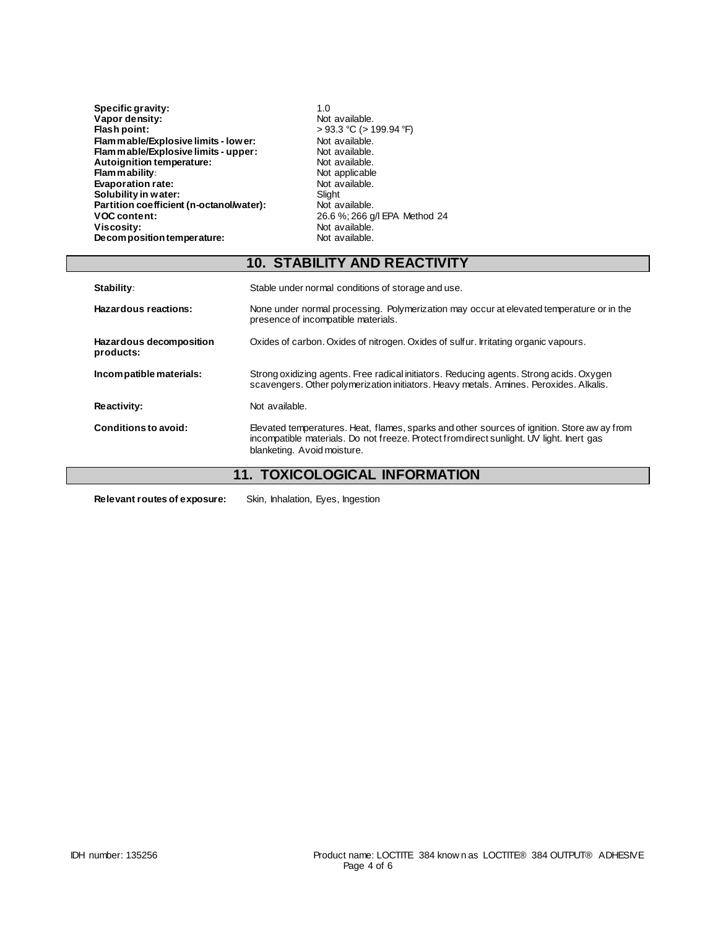| 1.0                           |
|-------------------------------|
| Not available.                |
| $>93.3$ °C ( $>199.94$ °F)    |
| Not available.                |
| Not available.                |
| Not available.                |
| Not applicable                |
| Not available.                |
| Slight                        |
| Not available.                |
| 26.6 %; 266 g/l EPA Method 24 |
| Not available.                |
| Not available.                |
|                               |

# **10. STABILITY AND REACTIVITY**

| Stability:                           | Stable under normal conditions of storage and use.                                                                                                                                                                     |
|--------------------------------------|------------------------------------------------------------------------------------------------------------------------------------------------------------------------------------------------------------------------|
| Hazardous reactions:                 | None under normal processing. Polymerization may occur at elevated temperature or in the<br>presence of incompatible materials.                                                                                        |
| Hazardous decomposition<br>products: | Oxides of carbon. Oxides of nitrogen. Oxides of sulfur. Irritating organic vapours.                                                                                                                                    |
| Incompatible materials:              | Strong oxidizing agents. Free radical initiators. Reducing agents. Strong acids. Oxygen<br>scavengers. Other polymerization initiators. Heavy metals. Amines. Peroxides. Alkalis.                                      |
| Reactivity:                          | Not available.                                                                                                                                                                                                         |
| Conditions to avoid:                 | Elevated temperatures. Heat, flames, sparks and other sources of ignition. Store aw ay from<br>incompatible materials. Do not freeze. Protect from direct sunlight. UV light. Inert gas<br>blanketing. Avoid moisture. |
|                                      |                                                                                                                                                                                                                        |

### **11. TOXICOLOGICAL INFORMATION**

**Relevant routes of exposure:** Skin, Inhalation, Eyes, Ingestion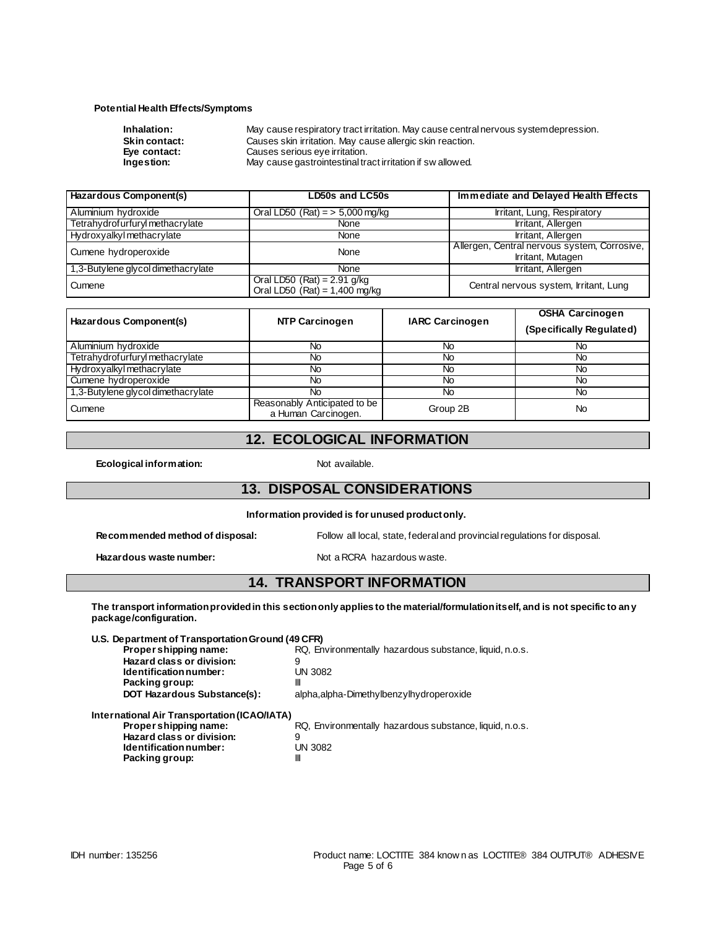#### **Potential Health Effects/Symptoms**

| Inhalation:          | May cause respiratory tract irritation. May cause central nervous system depression. |
|----------------------|--------------------------------------------------------------------------------------|
| <b>Skin contact:</b> | Causes skin irritation. May cause allergic skin reaction.                            |
| Eve contact:         | Causes serious eye irritation.                                                       |
| Ingestion:           | May cause gastrointestinal tract irritation if sw allowed.                           |
|                      |                                                                                      |

| <b>Hazardous Component(s)</b>      | LD50s and LC50s                                                  | Immediate and Delayed Health Effects                              |
|------------------------------------|------------------------------------------------------------------|-------------------------------------------------------------------|
| Aluminium hydroxide                | Oral LD50 (Rat) = $> 5,000$ mg/kg<br>Irritant, Lung, Respiratory |                                                                   |
| Tetrahydrofurfuryl methacrylate    | Irritant, Allergen<br>None                                       |                                                                   |
| Hydroxyalkyl methacrylate          | None                                                             | Irritant, Allergen                                                |
| Cumene hydroperoxide               | None                                                             | Allergen, Central nervous system, Corrosive,<br>Irritant, Mutagen |
| 1,3-Butylene glycol dimethacrylate | None                                                             | Irritant, Allergen                                                |
| Cumene                             | Oral LD50 $(Rat) = 2.91$ g/kg<br>Oral LD50 $(Rat) = 1,400$ mg/kg | Central nervous system, Irritant, Lung                            |

| Hazardous Component(s)             | <b>NTP Carcinogen</b>                               | <b>IARC Carcinogen</b> | <b>OSHA Carcinogen</b><br>(Specifically Regulated) |
|------------------------------------|-----------------------------------------------------|------------------------|----------------------------------------------------|
| Aluminium hydroxide                | No                                                  | No                     | No                                                 |
| Tetrahydrofurfuryl methacrylate    | No                                                  | No                     | No                                                 |
| Hydroxyalkyl methacrylate          | No                                                  | No                     | No                                                 |
| Cumene hydroperoxide               | No                                                  | No                     | No                                                 |
| 1,3-Butylene glycol dimethacrylate | No                                                  | No                     | No                                                 |
| Cumene                             | Reasonably Anticipated to be<br>a Human Carcinogen. | Group 2B               | No                                                 |

## **12. ECOLOGICAL INFORMATION**

**Ecological information:** Not available.

### **13. DISPOSAL CONSIDERATIONS**

**Information provided is for unused product only.**

**Recommended method of disposal:** Follow all local, state, federal and provincial regulations for disposal.

**Hazardous waste number:** Not a RCRA hazardous waste.

# **14. TRANSPORT INFORMATION**

**The transport information provided in this section only applies to the material/formulation itself, and is not specific to any package/configuration.**

**U.S. Department of Transportation Ground (49 CFR)**

**Proper shipping name:** RQ, Environmentally hazardous substance, liquid, n.o.s.

| Hazard class or division:  | g              |
|----------------------------|----------------|
| Identification number:     | <b>UN 3082</b> |
| Packing group:             | Ш              |
| DOT Hazardous Rubetanoole) | olpho olp      |

**DOT Hazardous Substance(s):** alpha,alpha-Dimethylbenzylhydroperoxide

**International Air Transportation (ICAO/IATA)**

**Hazard class or division:** 9<br> **Identification number:** UN 3082 **Identification number: Packing group:**  $\blacksquare$ 

RQ, Environmentally hazardous substance, liquid, n.o.s.